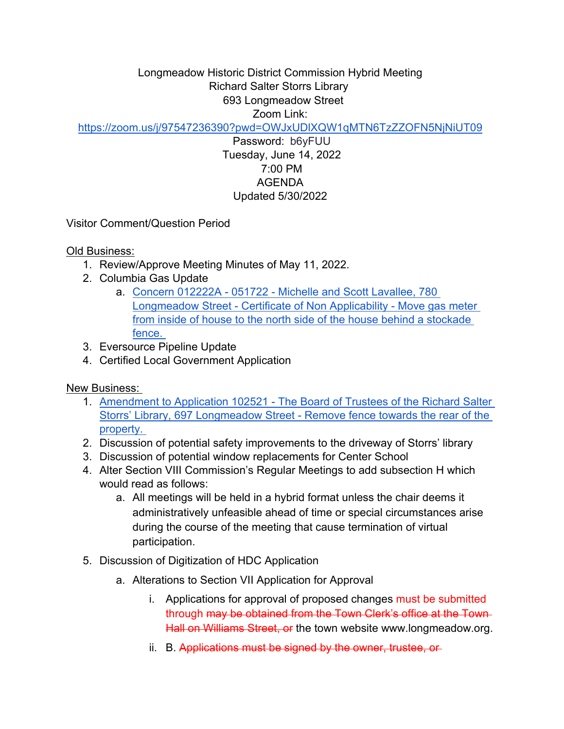## Longmeadow Historic District Commission Hybrid Meeting Richard Salter Storrs Library 693 Longmeadow Street Zoom Link:

<https://zoom.us/j/97547236390?pwd=OWJxUDlXQW1qMTN6TzZZOFN5NjNiUT09>

Password: b6yFUU Tuesday, June 14, 2022 7:00 PM AGENDA Updated 5/30/2022

Visitor Comment/Question Period

Old Business:

- 1. Review/Approve Meeting Minutes of May 11, 2022.
- 2. Columbia Gas Update
	- a. [Concern 012222A 051722 Michelle and Scott Lavallee, 780](https://drive.google.com/file/d/1WI6AohvunJZk6tSHYxIWtXasdjElmPl1/view?usp=sharing)  [Longmeadow Street - Certificate of Non Applicability - Move gas meter](https://drive.google.com/file/d/1WI6AohvunJZk6tSHYxIWtXasdjElmPl1/view?usp=sharing)  [from inside of house to the north side of the house behind a stockade](https://drive.google.com/file/d/1WI6AohvunJZk6tSHYxIWtXasdjElmPl1/view?usp=sharing)  [fence.](https://drive.google.com/file/d/1WI6AohvunJZk6tSHYxIWtXasdjElmPl1/view?usp=sharing)
- 3. Eversource Pipeline Update
- 4. Certified Local Government Application

New Business:

- 1. [Amendment to Application 102521 The Board of Trustees of the Richard Salter](https://drive.google.com/file/d/125SFPFKL4zMB0C7bi42J5wQCn5jCn5Mt/view?usp=sharing)  [Storrs' Library, 697 Longmeadow Street - Remove fence towards the rear of the](https://drive.google.com/file/d/125SFPFKL4zMB0C7bi42J5wQCn5jCn5Mt/view?usp=sharing)  [property.](https://drive.google.com/file/d/125SFPFKL4zMB0C7bi42J5wQCn5jCn5Mt/view?usp=sharing)
- 2. Discussion of potential safety improvements to the driveway of Storrs' library
- 3. Discussion of potential window replacements for Center School
- 4. Alter Section VIII Commission's Regular Meetings to add subsection H which would read as follows:
	- a. All meetings will be held in a hybrid format unless the chair deems it administratively unfeasible ahead of time or special circumstances arise during the course of the meeting that cause termination of virtual participation.
- 5. Discussion of Digitization of HDC Application
	- a. Alterations to Section VII Application for Approval
		- i. Applications for approval of proposed changes must be submitted through may be obtained from the Town Clerk's office at the Town Hall on Williams Street, or the town website www.longmeadow.org.
		- ii. B. Applications must be signed by the owner, trustee, or